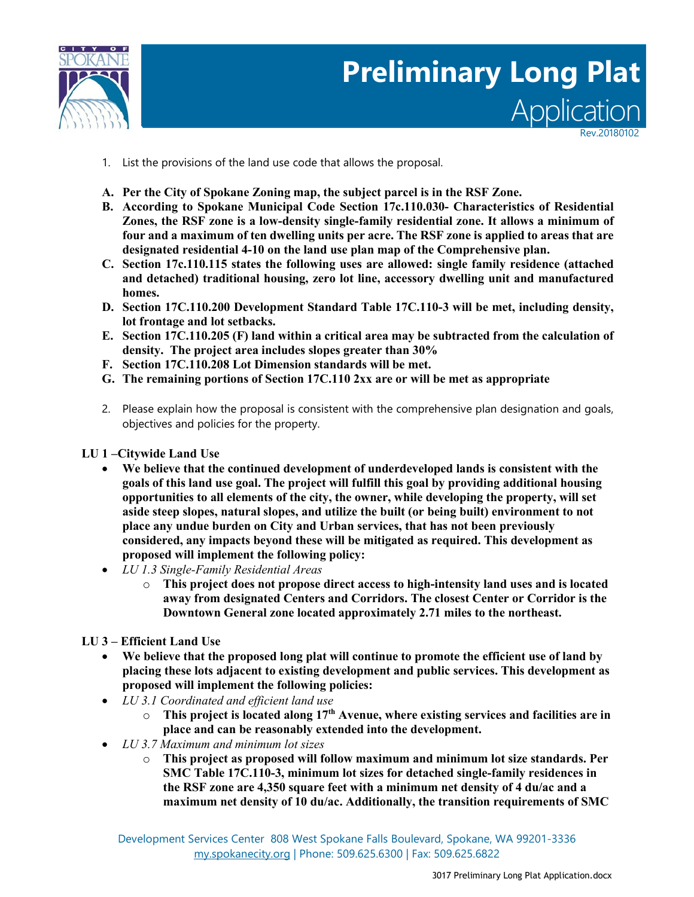

# Applicati **Preliminary Long Plat**

Rev.20180102

- 1. List the provisions of the land use code that allows the proposal.
- **A. Per the City of Spokane Zoning map, the subject parcel is in the RSF Zone.**
- **B. According to Spokane Municipal Code Section 17c.110.030- Characteristics of Residential Zones, the RSF zone is a low-density single-family residential zone. It allows a minimum of four and a maximum of ten dwelling units per acre. The RSF zone is applied to areas that are designated residential 4-10 on the land use plan map of the Comprehensive plan.**
- **C. Section 17c.110.115 states the following uses are allowed: single family residence (attached and detached) traditional housing, zero lot line, accessory dwelling unit and manufactured homes.**
- **D. Section 17C.110.200 Development Standard Table 17C.110-3 will be met, including density, lot frontage and lot setbacks.**
- **E. Section 17C.110.205 (F) land within a critical area may be subtracted from the calculation of density. The project area includes slopes greater than 30%**
- **F. Section 17C.110.208 Lot Dimension standards will be met.**
- **G. The remaining portions of Section 17C.110 2xx are or will be met as appropriate**
- 2. Please explain how the proposal is consistent with the comprehensive plan designation and goals, objectives and policies for the property.

**LU 1 –Citywide Land Use**

- **We believe that the continued development of underdeveloped lands is consistent with the goals of this land use goal. The project will fulfill this goal by providing additional housing opportunities to all elements of the city, the owner, while developing the property, will set aside steep slopes, natural slopes, and utilize the built (or being built) environment to not place any undue burden on City and Urban services, that has not been previously considered, any impacts beyond these will be mitigated as required. This development as proposed will implement the following policy:**
- *LU 1.3 Single-Family Residential Areas*
	- o **This project does not propose direct access to high-intensity land uses and is located away from designated Centers and Corridors. The closest Center or Corridor is the Downtown General zone located approximately 2.71 miles to the northeast.**
- **LU 3 – Efficient Land Use**
	- **We believe that the proposed long plat will continue to promote the efficient use of land by placing these lots adjacent to existing development and public services. This development as proposed will implement the following policies:**
	- *LU 3.1 Coordinated and efficient land use*
		- o **This project is located along 17th Avenue, where existing services and facilities are in place and can be reasonably extended into the development.**
	- *LU 3.7 Maximum and minimum lot sizes*
		- o **This project as proposed will follow maximum and minimum lot size standards. Per SMC Table 17C.110-3, minimum lot sizes for detached single-family residences in the RSF zone are 4,350 square feet with a minimum net density of 4 du/ac and a maximum net density of 10 du/ac. Additionally, the transition requirements of SMC**

Development Services Center 808 West Spokane Falls Boulevard, Spokane, WA 99201-3336 [my.spokanecity.org](http://www.spokanecity.org/) | Phone: 509.625.6300 | Fax: 509.625.6822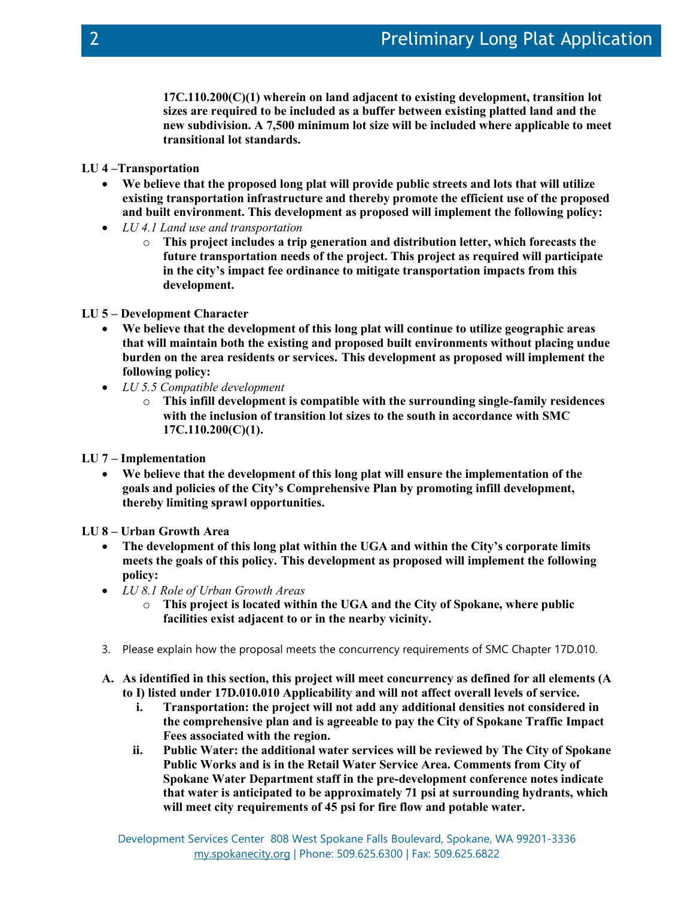**17C.110.200(C)(1) wherein on land adjacent to existing development, transition lot sizes are required to be included as a buffer between existing platted land and the new subdivision. A 7,500 minimum lot size will be included where applicable to meet transitional lot standards.**

- **LU 4 –Transportation**
	- **We believe that the proposed long plat will provide public streets and lots that will utilize existing transportation infrastructure and thereby promote the efficient use of the proposed and built environment. This development as proposed will implement the following policy:**
	- *LU 4.1 Land use and transportation*
		- o **This project includes a trip generation and distribution letter, which forecasts the future transportation needs of the project. This project as required will participate in the city's impact fee ordinance to mitigate transportation impacts from this development.**
- **LU 5 – Development Character**
	- **We believe that the development of this long plat will continue to utilize geographic areas that will maintain both the existing and proposed built environments without placing undue burden on the area residents or services. This development as proposed will implement the following policy:**
	- *LU 5.5 Compatible development*
		- o **This infill development is compatible with the surrounding single-family residences with the inclusion of transition lot sizes to the south in accordance with SMC 17C.110.200(C)(1).**
- **LU 7 – Implementation**
	- **We believe that the development of this long plat will ensure the implementation of the goals and policies of the City's Comprehensive Plan by promoting infill development, thereby limiting sprawl opportunities.**
- **LU 8 – Urban Growth Area**
	- **The development of this long plat within the UGA and within the City's corporate limits meets the goals of this policy. This development as proposed will implement the following policy:**
	- *LU 8.1 Role of Urban Growth Areas*
		- o **This project is located within the UGA and the City of Spokane, where public facilities exist adjacent to or in the nearby vicinity.**
	- 3. Please explain how the proposal meets the concurrency requirements of SMC Chapter 17D.010.
	- **A. As identified in this section, this project will meet concurrency as defined for all elements (A to I) listed under 17D.010.010 Applicability and will not affect overall levels of service.**
		- **i. Transportation: the project will not add any additional densities not considered in the comprehensive plan and is agreeable to pay the City of Spokane Traffic Impact Fees associated with the region.**
		- **ii. Public Water: the additional water services will be reviewed by The City of Spokane Public Works and is in the Retail Water Service Area. Comments from City of Spokane Water Department staff in the pre-development conference notes indicate that water is anticipated to be approximately 71 psi at surrounding hydrants, which will meet city requirements of 45 psi for fire flow and potable water.**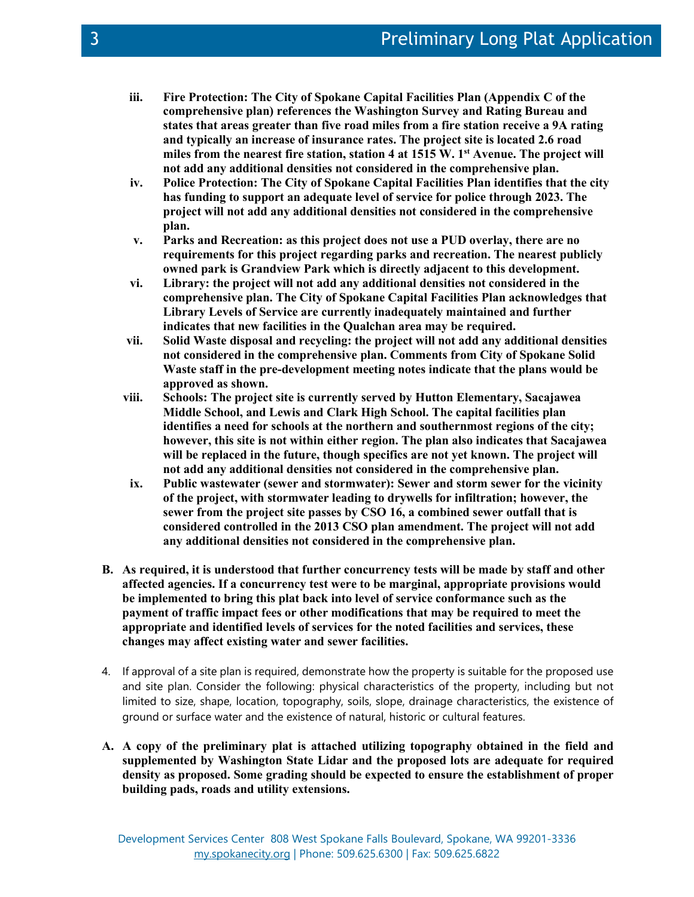- **iii. Fire Protection: The City of Spokane Capital Facilities Plan (Appendix C of the comprehensive plan) references the Washington Survey and Rating Bureau and states that areas greater than five road miles from a fire station receive a 9A rating and typically an increase of insurance rates. The project site is located 2.6 road miles from the nearest fire station, station 4 at 1515 W. 1st Avenue. The project will not add any additional densities not considered in the comprehensive plan.**
- **iv. Police Protection: The City of Spokane Capital Facilities Plan identifies that the city has funding to support an adequate level of service for police through 2023. The project will not add any additional densities not considered in the comprehensive plan.**
- **v. Parks and Recreation: as this project does not use a PUD overlay, there are no requirements for this project regarding parks and recreation. The nearest publicly owned park is Grandview Park which is directly adjacent to this development.**
- **vi. Library: the project will not add any additional densities not considered in the comprehensive plan. The City of Spokane Capital Facilities Plan acknowledges that Library Levels of Service are currently inadequately maintained and further indicates that new facilities in the Qualchan area may be required.**
- **vii. Solid Waste disposal and recycling: the project will not add any additional densities not considered in the comprehensive plan. Comments from City of Spokane Solid Waste staff in the pre-development meeting notes indicate that the plans would be approved as shown.**
- **viii. Schools: The project site is currently served by Hutton Elementary, Sacajawea Middle School, and Lewis and Clark High School. The capital facilities plan identifies a need for schools at the northern and southernmost regions of the city; however, this site is not within either region. The plan also indicates that Sacajawea will be replaced in the future, though specifics are not yet known. The project will not add any additional densities not considered in the comprehensive plan.**
- **ix. Public wastewater (sewer and stormwater): Sewer and storm sewer for the vicinity of the project, with stormwater leading to drywells for infiltration; however, the sewer from the project site passes by CSO 16, a combined sewer outfall that is considered controlled in the 2013 CSO plan amendment. The project will not add any additional densities not considered in the comprehensive plan.**
- **B. As required, it is understood that further concurrency tests will be made by staff and other affected agencies. If a concurrency test were to be marginal, appropriate provisions would be implemented to bring this plat back into level of service conformance such as the payment of traffic impact fees or other modifications that may be required to meet the appropriate and identified levels of services for the noted facilities and services, these changes may affect existing water and sewer facilities.**
- 4. If approval of a site plan is required, demonstrate how the property is suitable for the proposed use and site plan. Consider the following: physical characteristics of the property, including but not limited to size, shape, location, topography, soils, slope, drainage characteristics, the existence of ground or surface water and the existence of natural, historic or cultural features.
- **A. A copy of the preliminary plat is attached utilizing topography obtained in the field and supplemented by Washington State Lidar and the proposed lots are adequate for required density as proposed. Some grading should be expected to ensure the establishment of proper building pads, roads and utility extensions.**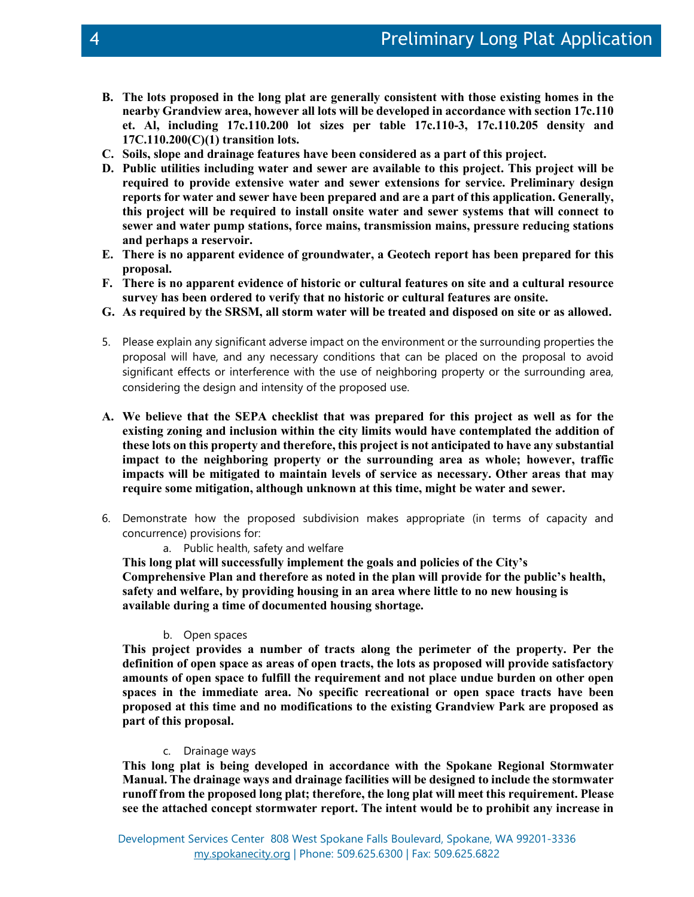- **B. The lots proposed in the long plat are generally consistent with those existing homes in the nearby Grandview area, however all lots will be developed in accordance with section 17c.110 et. Al, including 17c.110.200 lot sizes per table 17c.110-3, 17c.110.205 density and 17C.110.200(C)(1) transition lots.**
- **C. Soils, slope and drainage features have been considered as a part of this project.**
- **D. Public utilities including water and sewer are available to this project. This project will be required to provide extensive water and sewer extensions for service. Preliminary design reports for water and sewer have been prepared and are a part of this application. Generally, this project will be required to install onsite water and sewer systems that will connect to sewer and water pump stations, force mains, transmission mains, pressure reducing stations and perhaps a reservoir.**
- **E. There is no apparent evidence of groundwater, a Geotech report has been prepared for this proposal.**
- **F. There is no apparent evidence of historic or cultural features on site and a cultural resource survey has been ordered to verify that no historic or cultural features are onsite.**
- **G. As required by the SRSM, all storm water will be treated and disposed on site or as allowed.**
- 5. Please explain any significant adverse impact on the environment or the surrounding properties the proposal will have, and any necessary conditions that can be placed on the proposal to avoid significant effects or interference with the use of neighboring property or the surrounding area, considering the design and intensity of the proposed use.
- **A. We believe that the SEPA checklist that was prepared for this project as well as for the existing zoning and inclusion within the city limits would have contemplated the addition of these lots on this property and therefore, this project is not anticipated to have any substantial impact to the neighboring property or the surrounding area as whole; however, traffic impacts will be mitigated to maintain levels of service as necessary. Other areas that may require some mitigation, although unknown at this time, might be water and sewer.**
- 6. Demonstrate how the proposed subdivision makes appropriate (in terms of capacity and concurrence) provisions for:
	- a. Public health, safety and welfare

**This long plat will successfully implement the goals and policies of the City's Comprehensive Plan and therefore as noted in the plan will provide for the public's health, safety and welfare, by providing housing in an area where little to no new housing is available during a time of documented housing shortage.**

# b. Open spaces

**This project provides a number of tracts along the perimeter of the property. Per the definition of open space as areas of open tracts, the lots as proposed will provide satisfactory amounts of open space to fulfill the requirement and not place undue burden on other open spaces in the immediate area. No specific recreational or open space tracts have been proposed at this time and no modifications to the existing Grandview Park are proposed as part of this proposal.**

# c. Drainage ways

**This long plat is being developed in accordance with the Spokane Regional Stormwater Manual. The drainage ways and drainage facilities will be designed to include the stormwater runoff from the proposed long plat; therefore, the long plat will meet this requirement. Please see the attached concept stormwater report. The intent would be to prohibit any increase in**